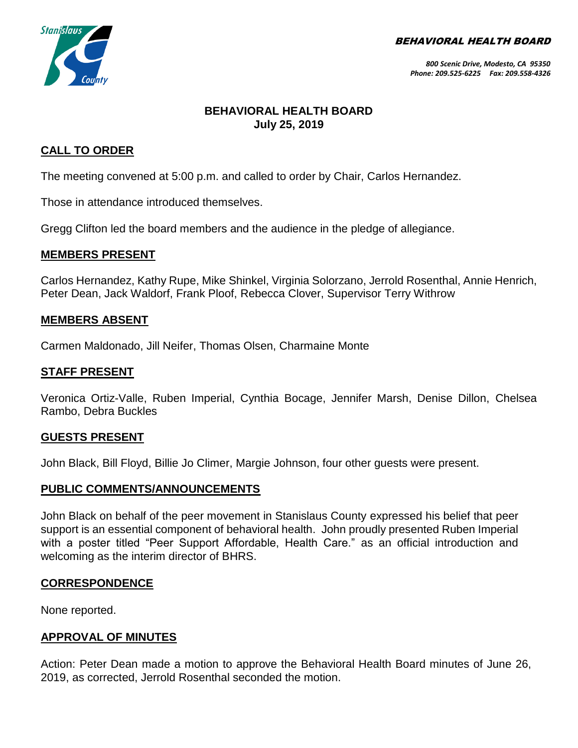BEHAVIORAL HEALTH BOARD



# **BEHAVIORAL HEALTH BOARD July 25, 2019**

## **CALL TO ORDER**

The meeting convened at 5:00 p.m. and called to order by Chair, Carlos Hernandez.

Those in attendance introduced themselves.

Gregg Clifton led the board members and the audience in the pledge of allegiance.

#### **MEMBERS PRESENT**

Carlos Hernandez, Kathy Rupe, Mike Shinkel, Virginia Solorzano, Jerrold Rosenthal, Annie Henrich, Peter Dean, Jack Waldorf, Frank Ploof, Rebecca Clover, Supervisor Terry Withrow

#### **MEMBERS ABSENT**

Carmen Maldonado, Jill Neifer, Thomas Olsen, Charmaine Monte

#### **STAFF PRESENT**

Veronica Ortiz-Valle, Ruben Imperial, Cynthia Bocage, Jennifer Marsh, Denise Dillon, Chelsea Rambo, Debra Buckles

#### **GUESTS PRESENT**

John Black, Bill Floyd, Billie Jo Climer, Margie Johnson, four other guests were present.

#### **PUBLIC COMMENTS/ANNOUNCEMENTS**

John Black on behalf of the peer movement in Stanislaus County expressed his belief that peer support is an essential component of behavioral health. John proudly presented Ruben Imperial with a poster titled "Peer Support Affordable, Health Care." as an official introduction and welcoming as the interim director of BHRS.

### **CORRESPONDENCE**

None reported.

#### **APPROVAL OF MINUTES**

Action: Peter Dean made a motion to approve the Behavioral Health Board minutes of June 26, 2019, as corrected, Jerrold Rosenthal seconded the motion.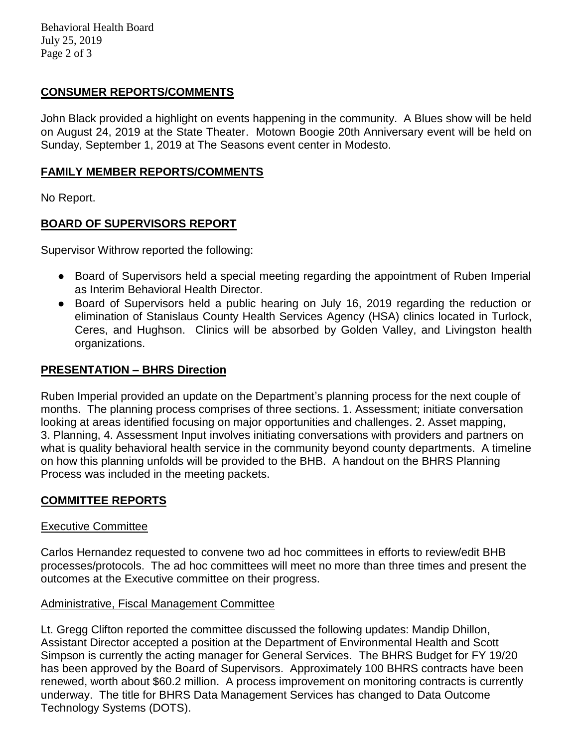Behavioral Health Board July 25, 2019 Page 2 of 3

### **CONSUMER REPORTS/COMMENTS**

John Black provided a highlight on events happening in the community. A Blues show will be held on August 24, 2019 at the State Theater. Motown Boogie 20th Anniversary event will be held on Sunday, September 1, 2019 at The Seasons event center in Modesto.

### **FAMILY MEMBER REPORTS/COMMENTS**

No Report.

# **BOARD OF SUPERVISORS REPORT**

Supervisor Withrow reported the following:

- Board of Supervisors held a special meeting regarding the appointment of Ruben Imperial as Interim Behavioral Health Director.
- Board of Supervisors held a public hearing on July 16, 2019 regarding the reduction or elimination of Stanislaus County Health Services Agency (HSA) clinics located in Turlock, Ceres, and Hughson. Clinics will be absorbed by Golden Valley, and Livingston health organizations.

# **PRESENTATION – BHRS Direction**

Ruben Imperial provided an update on the Department's planning process for the next couple of months. The planning process comprises of three sections. 1. Assessment; initiate conversation looking at areas identified focusing on major opportunities and challenges. 2. Asset mapping, 3. Planning, 4. Assessment Input involves initiating conversations with providers and partners on what is quality behavioral health service in the community beyond county departments. A timeline on how this planning unfolds will be provided to the BHB. A handout on the BHRS Planning Process was included in the meeting packets.

# **COMMITTEE REPORTS**

### Executive Committee

Carlos Hernandez requested to convene two ad hoc committees in efforts to review/edit BHB processes/protocols. The ad hoc committees will meet no more than three times and present the outcomes at the Executive committee on their progress.

### Administrative, Fiscal Management Committee

Lt. Gregg Clifton reported the committee discussed the following updates: Mandip Dhillon, Assistant Director accepted a position at the Department of Environmental Health and Scott Simpson is currently the acting manager for General Services. The BHRS Budget for FY 19/20 has been approved by the Board of Supervisors. Approximately 100 BHRS contracts have been renewed, worth about \$60.2 million. A process improvement on monitoring contracts is currently underway. The title for BHRS Data Management Services has changed to Data Outcome Technology Systems (DOTS).